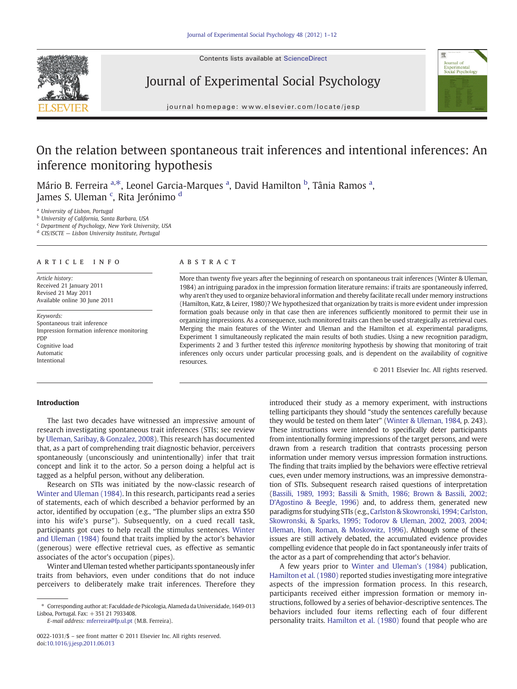Contents lists available at ScienceDirect

<span id="page-0-0"></span>

# Journal of Experimental Social Psychology



journal homepage: www.elsevier.com/locate/jesp

# On the relation between spontaneous trait inferences and intentional inferences: An inference monitoring hypothesis

Mário B. Ferreira <sup>a,\*</sup>, Leonel Garcia-Marques <sup>a</sup>, David Hamilton <sup>b</sup>, Tânia Ramos <sup>a</sup>, James S. Uleman <sup>c</sup>, Rita Jerónimo <sup>d</sup>

<sup>a</sup> University of Lisbon, Portugal

<sup>b</sup> University of California, Santa Barbara, USA

<sup>c</sup> Department of Psychology, New York University, USA <sup>d</sup> CIS/ISCTE — Lisbon University Institute, Portugal

### article info abstract

Article history: Received 21 January 2011 Revised 21 May 2011 Available online 30 June 2011

Keywords: Spontaneous trait inference Impression formation inference monitoring PDP Cognitive load Automatic Intentional

More than twenty five years after the beginning of research on spontaneous trait inferences (Winter & Uleman, 1984) an intriguing paradox in the impression formation literature remains: if traits are spontaneously inferred, why aren't they used to organize behavioral information and thereby facilitate recall under memory instructions (Hamilton, Katz, & Leirer, 1980)? We hypothesized that organization by traits is more evident under impression formation goals because only in that case then are inferences sufficiently monitored to permit their use in organizing impressions. As a consequence, such monitored traits can then be used strategically as retrieval cues. Merging the main features of the Winter and Uleman and the Hamilton et al. experimental paradigms, Experiment 1 simultaneously replicated the main results of both studies. Using a new recognition paradigm, Experiments 2 and 3 further tested this inference monitoring hypothesis by showing that monitoring of trait inferences only occurs under particular processing goals, and is dependent on the availability of cognitive resources.

© 2011 Elsevier Inc. All rights reserved.

# Introduction

The last two decades have witnessed an impressive amount of research investigating spontaneous trait inferences (STIs; see review by [Uleman, Saribay, & Gonzalez, 2008](#page-11-0)). This research has documented that, as a part of comprehending trait diagnostic behavior, perceivers spontaneously (unconsciously and unintentionally) infer that trait concept and link it to the actor. So a person doing a helpful act is tagged as a helpful person, without any deliberation.

Research on STIs was initiated by the now-classic research of [Winter and Uleman \(1984\).](#page-11-0) In this research, participants read a series of statements, each of which described a behavior performed by an actor, identified by occupation (e.g., "The plumber slips an extra \$50 into his wife's purse"). Subsequently, on a cued recall task, participants got cues to help recall the stimulus sentences. [Winter](#page-11-0) [and Uleman \(1984\)](#page-11-0) found that traits implied by the actor's behavior (generous) were effective retrieval cues, as effective as semantic associates of the actor's occupation (pipes).

Winter and Uleman tested whether participants spontaneously infer traits from behaviors, even under conditions that do not induce perceivers to deliberately make trait inferences. Therefore they

E-mail address: [mferreira@fp.ul.pt](mailto:mferreira@fp.ul.pt) (M.B. Ferreira).

introduced their study as a memory experiment, with instructions telling participants they should "study the sentences carefully because they would be tested on them later" ([Winter & Uleman, 1984](#page-11-0), p. 243). These instructions were intended to specifically deter participants from intentionally forming impressions of the target persons, and were drawn from a research tradition that contrasts processing person information under memory versus impression formation instructions. The finding that traits implied by the behaviors were effective retrieval cues, even under memory instructions, was an impressive demonstration of STIs. Subsequent research raised questions of interpretation [\(Bassili, 1989, 1993; Bassili & Smith, 1986; Brown & Bassili, 2002;](#page-10-0) [D'Agostino & Beegle, 1996](#page-10-0)) and, to address them, generated new paradigms for studying STIs (e.g., [Carlston & Skowronski, 1994; Carlston,](#page-11-0) [Skowronski, & Sparks, 1995; Todorov & Uleman, 2002, 2003, 2004;](#page-11-0) [Uleman, Hon, Roman, & Moskowitz, 1996\)](#page-11-0). Although some of these issues are still actively debated, the accumulated evidence provides compelling evidence that people do in fact spontaneously infer traits of the actor as a part of comprehending that actor's behavior.

A few years prior to [Winter and Uleman's \(1984\)](#page-11-0) publication, [Hamilton et al. \(1980\)](#page-11-0) reported studies investigating more integrative aspects of the impression formation process. In this research, participants received either impression formation or memory instructions, followed by a series of behavior-descriptive sentences. The behaviors included four items reflecting each of four different personality traits. [Hamilton et al. \(1980\)](#page-11-0) found that people who are

<sup>⁎</sup> Corresponding author at: Faculdade de Psicologia, Alameda da Universidade, 1649-013 Lisboa, Portugal. Fax: +351 21 7933408.

<sup>0022-1031/\$</sup> – see front matter © 2011 Elsevier Inc. All rights reserved. doi:[10.1016/j.jesp.2011.06.013](http://dx.doi.org/10.1016/j.jesp.2011.06.013)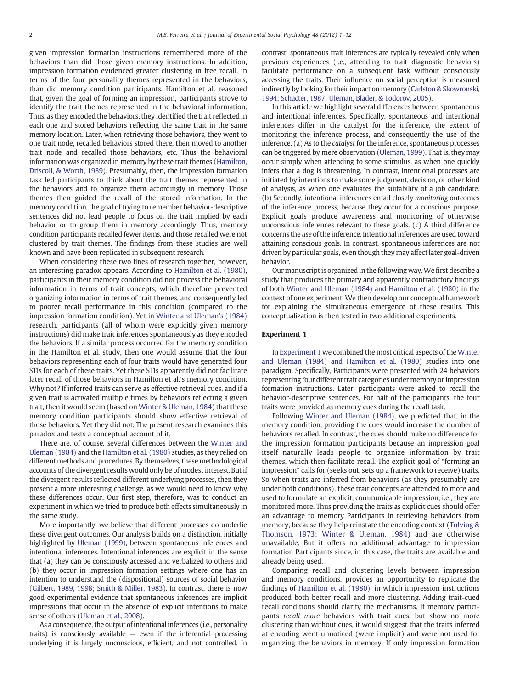given impression formation instructions remembered more of the behaviors than did those given memory instructions. In addition, impression formation evidenced greater clustering in free recall, in terms of the four personality themes represented in the behaviors, than did memory condition participants. Hamilton et al. reasoned that, given the goal of forming an impression, participants strove to identify the trait themes represented in the behavioral information. Thus, as they encoded the behaviors, they identified the trait reflected in each one and stored behaviors reflecting the same trait in the same memory location. Later, when retrieving those behaviors, they went to one trait node, recalled behaviors stored there, then moved to another trait node and recalled those behaviors, etc. Thus the behavioral information was organized in memory by these trait themes ([Hamilton,](#page-11-0) [Driscoll, & Worth, 1989](#page-11-0)). Presumably, then, the impression formation task led participants to think about the trait themes represented in the behaviors and to organize them accordingly in memory. Those themes then guided the recall of the stored information. In the memory condition, the goal of trying to remember behavior-descriptive sentences did not lead people to focus on the trait implied by each behavior or to group them in memory accordingly. Thus, memory condition participants recalled fewer items, and those recalled were not clustered by trait themes. The findings from these studies are well known and have been replicated in subsequent research.

When considering these two lines of research together, however, an interesting paradox appears. According to [Hamilton et al. \(1980\),](#page-11-0) participants in their memory condition did not process the behavioral information in terms of trait concepts, which therefore prevented organizing information in terms of trait themes, and consequently led to poorer recall performance in this condition (compared to the impression formation condition). Yet in [Winter and Uleman's \(1984\)](#page-11-0) research, participants (all of whom were explicitly given memory instructions) did make trait inferences spontaneously as they encoded the behaviors. If a similar process occurred for the memory condition in the Hamilton et al. study, then one would assume that the four behaviors representing each of four traits would have generated four STIs for each of these traits. Yet these STIs apparently did not facilitate later recall of those behaviors in Hamilton et al.'s memory condition. Why not? If inferred traits can serve as effective retrieval cues, and if a given trait is activated multiple times by behaviors reflecting a given trait, then it would seem (based on [Winter & Uleman, 1984](#page-11-0)) that these memory condition participants should show effective retrieval of those behaviors. Yet they did not. The present research examines this paradox and tests a conceptual account of it.

There are, of course, several differences between the [Winter and](#page-11-0) [Uleman \(1984\)](#page-11-0) and the [Hamilton et al. \(1980\)](#page-11-0) studies, as they relied on different methods and procedures. By themselves, thesemethodological accounts of the divergent results would only be of modest interest. But if the divergent results reflected different underlying processes, then they present a more interesting challenge, as we would need to know why these differences occur. Our first step, therefore, was to conduct an experiment in which we tried to produce both effects simultaneously in the same study.

More importantly, we believe that different processes do underlie these divergent outcomes. Our analysis builds on a distinction, initially highlighted by [Uleman \(1999\),](#page-11-0) between spontaneous inferences and intentional inferences. Intentional inferences are explicit in the sense that (a) they can be consciously accessed and verbalized to others and (b) they occur in impression formation settings where one has an intention to understand the (dispositional) sources of social behavior [\(Gilbert, 1989, 1998; Smith & Miller, 1983\)](#page-11-0). In contrast, there is now good experimental evidence that spontaneous inferences are implicit impressions that occur in the absence of explicit intentions to make sense of others ([Uleman et al., 2008](#page-11-0)).

As a consequence, the output of intentional inferences (i.e., personality traits) is consciously available — even if the inferential processing underlying it is largely unconscious, efficient, and not controlled. In contrast, spontaneous trait inferences are typically revealed only when previous experiences (i.e., attending to trait diagnostic behaviors) facilitate performance on a subsequent task without consciously accessing the traits. Their influence on social perception is measured indirectly by looking for their impact on memory [\(Carlston & Skowronski,](#page-11-0) [1994; Schacter, 1987; Uleman, Blader, & Todorov, 2005\)](#page-11-0).

In this article we highlight several differences between spontaneous and intentional inferences. Specifically, spontaneous and intentional inferences differ in the catalyst for the inference, the extent of monitoring the inference process, and consequently the use of the inference. (a) As to the catalyst for the inference, spontaneous processes can be triggered by mere observation [\(Uleman, 1999](#page-11-0)). That is, they may occur simply when attending to some stimulus, as when one quickly infers that a dog is threatening. In contrast, intentional processes are initiated by intentions to make some judgment, decision, or other kind of analysis, as when one evaluates the suitability of a job candidate. (b) Secondly, intentional inferences entail closely monitoring outcomes of the inference process, because they occur for a conscious purpose. Explicit goals produce awareness and monitoring of otherwise unconscious inferences relevant to these goals. (c) A third difference concerns the use of the inference. Intentional inferences are used toward attaining conscious goals. In contrast, spontaneous inferences are not driven by particular goals, even though they may affect later goal-driven behavior.

Our manuscript is organized in the following way.We first describe a study that produces the primary and apparently contradictory findings of both [Winter and Uleman \(1984\) and Hamilton et al. \(1980\)](#page-11-0) in the context of one experiment. We then develop our conceptual framework for explaining the simultaneous emergence of these results. This conceptualization is then tested in two additional experiments.

#### Experiment 1

In [Experiment 1](#page-0-0) we combined the most critical aspects of the [Winter](#page-11-0) [and Uleman \(1984\) and Hamilton et al. \(1980\)](#page-11-0) studies into one paradigm. Specifically, Participants were presented with 24 behaviors representing four different trait categories under memory or impression formation instructions. Later, participants were asked to recall the behavior-descriptive sentences. For half of the participants, the four traits were provided as memory cues during the recall task.

Following [Winter and Uleman \(1984\),](#page-11-0) we predicted that, in the memory condition, providing the cues would increase the number of behaviors recalled. In contrast, the cues should make no difference for the impression formation participants because an impression goal itself naturally leads people to organize information by trait themes, which then facilitate recall. The explicit goal of "forming an impression" calls for (seeks out, sets up a framework to receive) traits. So when traits are inferred from behaviors (as they presumably are under both conditions), these trait concepts are attended to more and used to formulate an explicit, communicable impression, i.e., they are monitored more. Thus providing the traits as explicit cues should offer an advantage to memory Participants in retrieving behaviors from memory, because they help reinstate the encoding context [\(Tulving &](#page-11-0) [Thomson, 1973; Winter & Uleman, 1984\)](#page-11-0) and are otherwise unavailable. But it offers no additional advantage to impression formation Participants since, in this case, the traits are available and already being used.

Comparing recall and clustering levels between impression and memory conditions, provides an opportunity to replicate the findings of [Hamilton et al. \(1980\),](#page-11-0) in which impression instructions produced both better recall and more clustering. Adding trait-cued recall conditions should clarify the mechanisms. If memory participants recall more behaviors with trait cues, but show no more clustering than without cues, it would suggest that the traits inferred at encoding went unnoticed (were implicit) and were not used for organizing the behaviors in memory. If only impression formation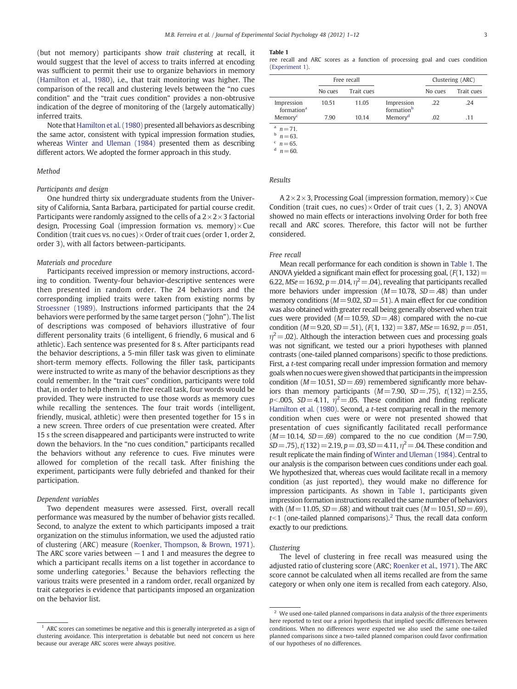<span id="page-2-0"></span>(but not memory) participants show trait clustering at recall, it would suggest that the level of access to traits inferred at encoding was sufficient to permit their use to organize behaviors in memory [\(Hamilton et al., 1980](#page-11-0)), i.e., that trait monitoring was higher. The comparison of the recall and clustering levels between the "no cues condition" and the "trait cues condition" provides a non-obtrusive indication of the degree of monitoring of the (largely automatically) inferred traits.

Note that [Hamilton et al. \(1980\)](#page-11-0) presented all behaviors as describing the same actor, consistent with typical impression formation studies, whereas [Winter and Uleman \(1984\)](#page-11-0) presented them as describing different actors. We adopted the former approach in this study.

# Method

# Participants and design

One hundred thirty six undergraduate students from the University of California, Santa Barbara, participated for partial course credit. Participants were randomly assigned to the cells of a  $2 \times 2 \times 3$  factorial design, Processing Goal (impression formation vs. memory) $\times$  Cue Condition (trait cues vs. no cues)  $\times$  Order of trait cues (order 1, order 2, order 3), with all factors between-participants.

#### Materials and procedure

Participants received impression or memory instructions, according to condition. Twenty-four behavior-descriptive sentences were then presented in random order. The 24 behaviors and the corresponding implied traits were taken from existing norms by [Stroessner \(1989\)](#page-11-0). Instructions informed participants that the 24 behaviors were performed by the same target person ("John"). The list of descriptions was composed of behaviors illustrative of four different personality traits (6 intelligent, 6 friendly, 6 musical and 6 athletic). Each sentence was presented for 8 s. After participants read the behavior descriptions, a 5-min filler task was given to eliminate short-term memory effects. Following the filler task, participants were instructed to write as many of the behavior descriptions as they could remember. In the "trait cues" condition, participants were told that, in order to help them in the free recall task, four words would be provided. They were instructed to use those words as memory cues while recalling the sentences. The four trait words (intelligent, friendly, musical, athletic) were then presented together for 15 s in a new screen. Three orders of cue presentation were created. After 15 s the screen disappeared and participants were instructed to write down the behaviors. In the "no cues condition," participants recalled the behaviors without any reference to cues. Five minutes were allowed for completion of the recall task. After finishing the experiment, participants were fully debriefed and thanked for their participation.

#### Dependent variables

Two dependent measures were assessed. First, overall recall performance was measured by the number of behavior gists recalled. Second, to analyze the extent to which participants imposed a trait organization on the stimulus information, we used the adjusted ratio of clustering (ARC) measure [\(Roenker, Thompson, & Brown, 1971](#page-11-0)). The ARC score varies between  $-1$  and 1 and measures the degree to which a participant recalls items on a list together in accordance to some underling categories.<sup>1</sup> Because the behaviors reflecting the various traits were presented in a random order, recall organized by trait categories is evidence that participants imposed an organization on the behavior list.

#### Table 1

ree recall and ARC scores as a function of processing goal and cues condition [\(Experiment 1\)](#page-0-0).

|                                      | Free recall |            |                                      | Clustering (ARC) |            |
|--------------------------------------|-------------|------------|--------------------------------------|------------------|------------|
|                                      | No cues     | Trait cues |                                      | No cues          | Trait cues |
| Impression<br>formation <sup>a</sup> | 10.51       | 11.05      | Impression<br>formation <sup>b</sup> | .22              | .24        |
| Memory <sup>c</sup>                  | 7.90        | 10.14      | Memory <sup>d</sup>                  | .02              | .11        |

 $n = 71$ .

 $h$   $n = 63$ .  $n = 65$ .

 $n = 60$ .

## Results

 $A 2 \times 2 \times 3$ , Processing Goal (impression formation, memory) $\times$ Cue Condition (trait cues, no cues) $\times$ Order of trait cues (1, 2, 3) ANOVA showed no main effects or interactions involving Order for both free recall and ARC scores. Therefore, this factor will not be further considered.

#### Free recall

Mean recall performance for each condition is shown in Table 1. The ANOVA yielded a significant main effect for processing goal,  $(F(1, 132)$ = 6.22, MSe = 16.92,  $p = .014$ ,  $\eta^2 = .04$ ), revealing that participants recalled more behaviors under impression  $(M=10.78, SD=.48)$  than under memory conditions ( $M=9.02$ ,  $SD=.51$ ). A main effect for cue condition was also obtained with greater recall being generally observed when trait cues were provided ( $M=10.59$ ,  $SD=.48$ ) compared with the no-cue condition ( $M=9.20$ ,  $SD=.51$ ), ( $F(1, 132)=3.87$ ,  $MSe=16.92$ ,  $p=.051$ ,  $\eta^2$  = .02). Although the interaction between cues and processing goals was not significant, we tested our a priori hypotheses with planned contrasts (one-tailed planned comparisons) specific to those predictions. First, a t-test comparing recall under impression formation and memory goals when no cues were given showed that participants in the impression condition ( $M=10.51$ ,  $SD=.69$ ) remembered significantly more behaviors than memory participants  $(M=7.90, SD=.75)$ ,  $t(132)=2.55$ ,  $p<$ .005, SD=4.11,  $\eta^2$ =.05. These condition and finding replicate [Hamilton et al. \(1980\).](#page-11-0) Second, a t-test comparing recall in the memory condition when cues were or were not presented showed that presentation of cues significantly facilitated recall performance  $(M=10.14, SD=.69)$  compared to the no cue condition  $(M=7.90,$  $SD = .75$ ),  $t(132) = 2.19$ ,  $p = .03$ ,  $SD = 4.11$ ,  $\eta^2 = .04$ . These condition and result replicate the main finding of [Winter and Uleman \(1984\)](#page-11-0). Central to our analysis is the comparison between cues conditions under each goal. We hypothesized that, whereas cues would facilitate recall in a memory condition (as just reported), they would make no difference for impression participants. As shown in Table 1, participants given impression formation instructions recalled the same number of behaviors with ( $M=11.05$ ,  $SD=.68$ ) and without trait cues ( $M=10.51$ ,  $SD=.69$ ),  $t$  (one-tailed planned comparisons).<sup>2</sup> Thus, the recall data conform exactly to our predictions.

#### Clustering

The level of clustering in free recall was measured using the adjusted ratio of clustering score (ARC; [Roenker et al., 1971](#page-11-0)). The ARC score cannot be calculated when all items recalled are from the same category or when only one item is recalled from each category. Also,

 $1$  ARC scores can sometimes be negative and this is generally interpreted as a sign of clustering avoidance. This interpretation is debatable but need not concern us here because our average ARC scores were always positive.

 $2$  We used one-tailed planned comparisons in data analysis of the three experiments here reported to test our a priori hypothesis that implied specific differences between conditions. When no differences were expected we also used the same one-tailed planned comparisons since a two-tailed planned comparison could favor confirmation of our hypotheses of no differences.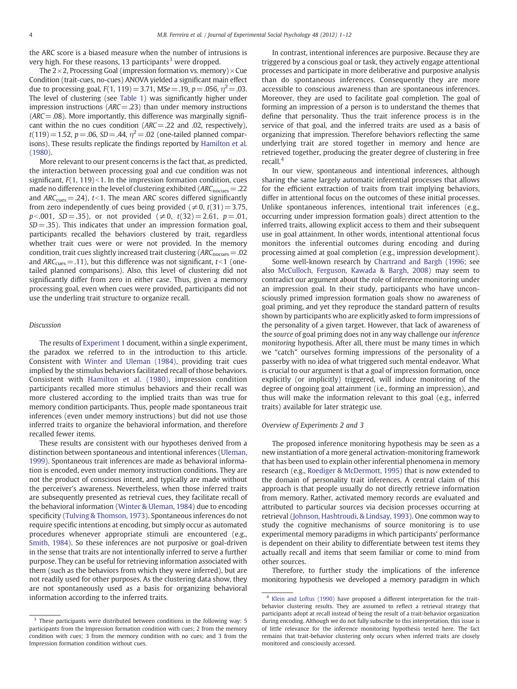<span id="page-3-0"></span>the ARC score is a biased measure when the number of intrusions is very high. For these reasons, 13 participants<sup>3</sup> were dropped.

The  $2\times 2$ , Processing Goal (impression formation vs. memory) $\times$ Cue Condition (trait-cues, no-cues) ANOVA yielded a significant main effect due to processing goal,  $F(1, 119) = 3.71$ , MSe = .19, p = .056,  $\eta^2 = .03$ . The level of clustering (see [Table 1](#page-2-0)) was significantly higher under impression instructions ( $ARC = .23$ ) than under memory instructions  $(ARC = .08)$ . More importantly, this difference was marginally significant within the no cues condition  $(ARC = .22$  and .02, respectively),  $t(119)=1.52$ ,  $p=.06$ ,  $SD=.44$ ,  $\eta^2=.02$  (one-tailed planned comparisons). These results replicate the findings reported by [Hamilton et al.](#page-11-0) [\(1980\)](#page-11-0).

More relevant to our present concerns is the fact that, as predicted, the interaction between processing goal and cue condition was not significant,  $F(1, 119)$  < 1. In the impression formation condition, cues made no difference in the level of clustering exhibited ( $ARC<sub>nocues</sub> = .22$ ) and  $ARC<sub>cues</sub> = .24$ ),  $t < 1$ . The mean ARC scores differed significantly from zero independently of cues being provided ( $\neq$  0,  $t$ (31) = 3.75, p < 0.001, SD = .35), or not provided ( $\neq$  0, t(32) = 2.61, p = .01,  $SD = .35$ ). This indicates that under an impression formation goal, participants recalled the behaviors clustered by trait, regardless whether trait cues were or were not provided. In the memory condition, trait cues slightly increased trait clustering  $(ARC<sub>nocues</sub> = .02$ and  $ARC<sub>cues</sub> = .11$ ), but this difference was not significant,  $t < 1$  (onetailed planned comparisons). Also, this level of clustering did not significantly differ from zero in either case. Thus, given a memory processing goal, even when cues were provided, participants did not use the underling trait structure to organize recall.

#### Discussion

The results of [Experiment 1](#page-0-0) document, within a single experiment, the paradox we referred to in the introduction to this article. Consistent with [Winter and Uleman \(1984\)](#page-11-0), providing trait cues implied by the stimulus behaviors facilitated recall of those behaviors. Consistent with [Hamilton et al. \(1980\),](#page-11-0) impression condition participants recalled more stimulus behaviors and their recall was more clustered according to the implied traits than was true for memory condition participants. Thus, people made spontaneous trait inferences (even under memory instructions) but did not use those inferred traits to organize the behavioral information, and therefore recalled fewer items.

These results are consistent with our hypotheses derived from a distinction between spontaneous and intentional inferences ([Uleman,](#page-11-0) [1999\)](#page-11-0). Spontaneous trait inferences are made as behavioral information is encoded, even under memory instruction conditions. They are not the product of conscious intent, and typically are made without the perceiver's awareness. Nevertheless, when those inferred traits are subsequently presented as retrieval cues, they facilitate recall of the behavioral information [\(Winter & Uleman, 1984](#page-11-0)) due to encoding specificity ([Tulving & Thomson, 1973](#page-11-0)). Spontaneous inferences do not require specific intentions at encoding, but simply occur as automated procedures whenever appropriate stimuli are encountered (e.g., [Smith, 1984\)](#page-11-0). So these inferences are not purposive or goal-driven in the sense that traits are not intentionally inferred to serve a further purpose. They can be useful for retrieving information associated with them (such as the behaviors from which they were inferred), but are not readily used for other purposes. As the clustering data show, they are not spontaneously used as a basis for organizing behavioral information according to the inferred traits.

In contrast, intentional inferences are purposive. Because they are triggered by a conscious goal or task, they actively engage attentional processes and participate in more deliberative and purposive analysis than do spontaneous inferences. Consequently they are more accessible to conscious awareness than are spontaneous inferences. Moreover, they are used to facilitate goal completion. The goal of forming an impression of a person is to understand the themes that define that personality. Thus the trait inference process is in the service of that goal, and the inferred traits are used as a basis of organizing that impression. Therefore behaviors reflecting the same underlying trait are stored together in memory and hence are retrieved together, producing the greater degree of clustering in free recall.<sup>4</sup>

In our view, spontaneous and intentional inferences, although sharing the same largely automatic inferential processes that allows for the efficient extraction of traits from trait implying behaviors, differ in attentional focus on the outcomes of these initial processes. Unlike spontaneous inferences, intentional trait inferences (e.g., occurring under impression formation goals) direct attention to the inferred traits, allowing explicit access to them and their subsequent use in goal attainment. In other words, intentional attentional focus monitors the inferential outcomes during encoding and during processing aimed at goal completion (e.g., impression development).

Some well-known research by [Chartrand and Bargh \(1996;](#page-11-0) see also [McCulloch, Ferguson, Kawada & Bargh, 2008\)](#page-11-0) may seem to contradict our argument about the role of inference monitoring under an impression goal. In their study, participants who have unconsciously primed impression formation goals show no awareness of goal priming, and yet they reproduce the standard pattern of results shown by participants who are explicitly asked to form impressions of the personality of a given target. However, that lack of awareness of the source of goal priming does not in any way challenge our inference monitoring hypothesis. After all, there must be many times in which we "catch" ourselves forming impressions of the personality of a passerby with no idea of what triggered such mental endeavor. What is crucial to our argument is that a goal of impression formation, once explicitly (or implicitly) triggered, will induce monitoring of the degree of ongoing goal attainment (i.e., forming an impression), and thus will make the information relevant to this goal (e.g., inferred traits) available for later strategic use.

#### Overview of Experiments 2 and 3

The proposed inference monitoring hypothesis may be seen as a new instantiation of a more general activation-monitoring framework that has been used to explain other inferential phenomena in memory research (e.g., [Roediger & McDermott, 1995](#page-11-0)) that is now extended to the domain of personality trait inferences. A central claim of this approach is that people usually do not directly retrieve information from memory. Rather, activated memory records are evaluated and attributed to particular sources via decision processes occurring at retrieval ([Johnson, Hashtroudi, & Lindsay, 1993](#page-11-0)). One common way to study the cognitive mechanisms of source monitoring is to use experimental memory paradigms in which participants' performance is dependent on their ability to differentiate between test items they actually recall and items that seem familiar or come to mind from other sources.

Therefore, to further study the implications of the inference monitoring hypothesis we developed a memory paradigm in which

<sup>&</sup>lt;sup>3</sup> These participants were distributed between conditions in the following way: 5 participants from the Impression formation condition with cues; 2 from the memory condition with cues; 3 from the memory condition with no cues; and 3 from the Impression formation condition without cues.

<sup>4</sup> [Klein and Loftus \(1990\)](#page-11-0) have proposed a different interpretation for the traitbehavior clustering results. They are assumed to reflect a retrieval strategy that participants adopt at recall instead of being the result of a trait-behavior organization during encoding. Although we do not fully subscribe to this interpretation, this issue is of little relevance for the inference monitoring hypothesis tested here. The fact remains that trait-behavior clustering only occurs when inferred traits are closely monitored and consciously accessed.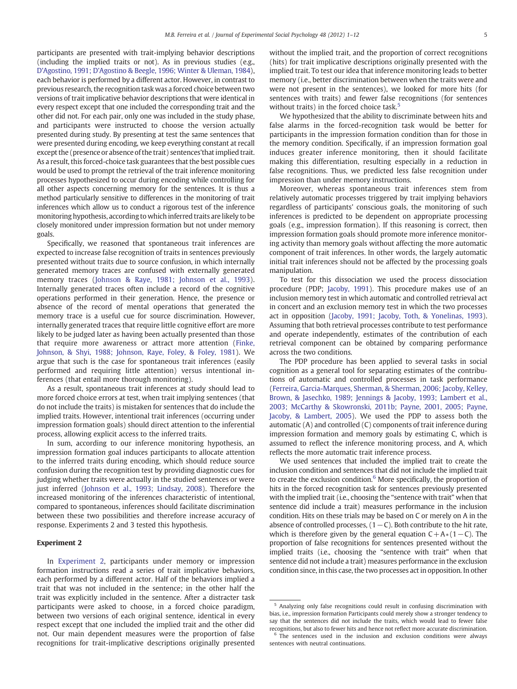participants are presented with trait-implying behavior descriptions (including the implied traits or not). As in previous studies (e.g., [D'Agostino, 1991; D'Agostino & Beegle, 1996; Winter & Uleman, 1984](#page-11-0)), each behavior is performed by a different actor. However, in contrast to previous research, the recognition task was a forced choice between two versions of trait implicative behavior descriptions that were identical in every respect except that one included the corresponding trait and the other did not. For each pair, only one was included in the study phase, and participants were instructed to choose the version actually presented during study. By presenting at test the same sentences that were presented during encoding, we keep everything constant at recall except the (presence or absence of the trait) sentences'that implied trait. As a result, this forced-choice task guarantees that the best possible cues would be used to prompt the retrieval of the trait inference monitoring processes hypothesized to occur during encoding while controlling for all other aspects concerning memory for the sentences. It is thus a method particularly sensitive to differences in the monitoring of trait inferences which allow us to conduct a rigorous test of the inference monitoring hypothesis, according to which inferred traits are likely to be closely monitored under impression formation but not under memory goals.

Specifically, we reasoned that spontaneous trait inferences are expected to increase false recognition of traits in sentences previously presented without traits due to source confusion, in which internally generated memory traces are confused with externally generated memory traces ([Johnson & Raye, 1981; Johnson et al., 1993](#page-11-0)). Internally generated traces often include a record of the cognitive operations performed in their generation. Hence, the presence or absence of the record of mental operations that generated the memory trace is a useful cue for source discrimination. However, internally generated traces that require little cognitive effort are more likely to be judged later as having been actually presented than those that require more awareness or attract more attention ([Finke,](#page-11-0) [Johnson, & Shyi, 1988; Johnson, Raye, Foley, & Foley, 1981\)](#page-11-0). We argue that such is the case for spontaneous trait inferences (easily performed and requiring little attention) versus intentional inferences (that entail more thorough monitoring).

As a result, spontaneous trait inferences at study should lead to more forced choice errors at test, when trait implying sentences (that do not include the traits) is mistaken for sentences that do include the implied traits. However, intentional trait inferences (occurring under impression formation goals) should direct attention to the inferential process, allowing explicit access to the inferred traits.

In sum, according to our inference monitoring hypothesis, an impression formation goal induces participants to allocate attention to the inferred traits during encoding, which should reduce source confusion during the recognition test by providing diagnostic cues for judging whether traits were actually in the studied sentences or were just inferred [\(Johnson et al., 1993; Lindsay, 2008\)](#page-11-0). Therefore the increased monitoring of the inferences characteristic of intentional, compared to spontaneous, inferences should facilitate discrimination between these two possibilities and therefore increase accuracy of response. Experiments 2 and 3 tested this hypothesis.

#### Experiment 2

In [Experiment 2,](#page-3-0) participants under memory or impression formation instructions read a series of trait implicative behaviors, each performed by a different actor. Half of the behaviors implied a trait that was not included in the sentence; in the other half the trait was explicitly included in the sentence. After a distracter task participants were asked to choose, in a forced choice paradigm, between two versions of each original sentence, identical in every respect except that one included the implied trait and the other did not. Our main dependent measures were the proportion of false recognitions for trait-implicative descriptions originally presented

without the implied trait, and the proportion of correct recognitions (hits) for trait implicative descriptions originally presented with the implied trait. To test our idea that inference monitoring leads to better memory (i.e., better discrimination between when the traits were and were not present in the sentences), we looked for more hits (for sentences with traits) and fewer false recognitions (for sentences without traits) in the forced choice task.<sup>5</sup>

We hypothesized that the ability to discriminate between hits and false alarms in the forced-recognition task would be better for participants in the impression formation condition than for those in the memory condition. Specifically, if an impression formation goal induces greater inference monitoring, then it should facilitate making this differentiation, resulting especially in a reduction in false recognitions. Thus, we predicted less false recognition under impression than under memory instructions.

Moreover, whereas spontaneous trait inferences stem from relatively automatic processes triggered by trait implying behaviors regardless of participants' conscious goals, the monitoring of such inferences is predicted to be dependent on appropriate processing goals (e.g., impression formation). If this reasoning is correct, then impression formation goals should promote more inference monitoring activity than memory goals without affecting the more automatic component of trait inferences. In other words, the largely automatic initial trait inferences should not be affected by the processing goals manipulation.

To test for this dissociation we used the process dissociation procedure (PDP; [Jacoby, 1991\)](#page-11-0). This procedure makes use of an inclusion memory test in which automatic and controlled retrieval act in concert and an exclusion memory test in which the two processes act in opposition [\(Jacoby, 1991; Jacoby, Toth, & Yonelinas, 1993](#page-11-0)). Assuming that both retrieval processes contribute to test performance and operate independently, estimates of the contribution of each retrieval component can be obtained by comparing performance across the two conditions.

The PDP procedure has been applied to several tasks in social cognition as a general tool for separating estimates of the contributions of automatic and controlled processes in task performance [\(Ferreira, Garcia-Marques, Sherman, & Sherman, 2006; Jacoby, Kelley,](#page-11-0) [Brown, & Jasechko, 1989; Jennings & Jacoby, 1993; Lambert et al.,](#page-11-0) [2003; McCarthy & Skowronski, 2011b; Payne, 2001, 2005; Payne,](#page-11-0) [Jacoby, & Lambert, 2005](#page-11-0)). We used the PDP to assess both the automatic (A) and controlled (C) components of trait inference during impression formation and memory goals by estimating C, which is assumed to reflect the inference monitoring process, and A, which reflects the more automatic trait inference process.

We used sentences that included the implied trait to create the inclusion condition and sentences that did not include the implied trait to create the exclusion condition. $6$  More specifically, the proportion of hits in the forced recognition task for sentences previously presented with the implied trait (i.e., choosing the "sentence with trait" when that sentence did include a trait) measures performance in the inclusion condition. Hits on these trials may be based on C or merely on A in the absence of controlled processes,  $(1-C)$ . Both contribute to the hit rate, which is therefore given by the general equation  $C+A*(1-C)$ . The proportion of false recognitions for sentences presented without the implied traits (i.e., choosing the "sentence with trait" when that sentence did not include a trait) measures performance in the exclusion condition since, in this case, the two processes act in opposition. In other

<sup>5</sup> Analyzing only false recognitions could result in confusing discrimination with bias, i.e., impression formation Participants could merely show a stronger tendency to say that the sentences did not include the traits, which would lead to fewer false recognitions, but also to fewer hits and hence not reflect more accurate discrimination. <sup>6</sup> The sentences used in the inclusion and exclusion conditions were always sentences with neutral continuations.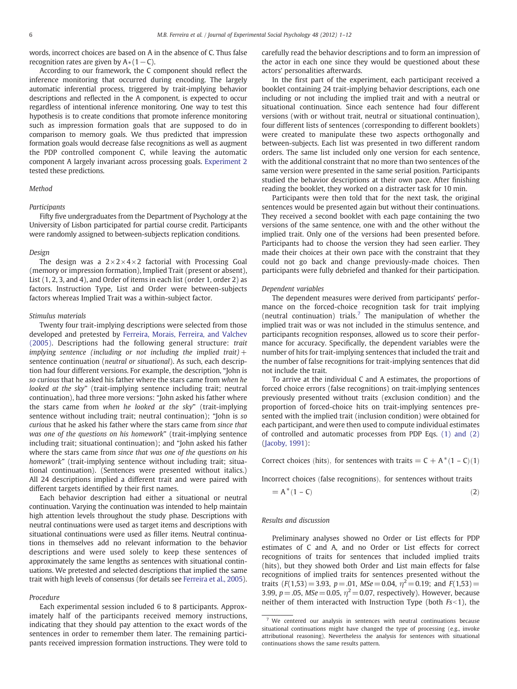words, incorrect choices are based on A in the absence of C. Thus false recognition rates are given by  $A*(1-C)$ .

According to our framework, the C component should reflect the inference monitoring that occurred during encoding. The largely automatic inferential process, triggered by trait-implying behavior descriptions and reflected in the A component, is expected to occur regardless of intentional inference monitoring. One way to test this hypothesis is to create conditions that promote inference monitoring such as impression formation goals that are supposed to do in comparison to memory goals. We thus predicted that impression formation goals would decrease false recognitions as well as augment the PDP controlled component C, while leaving the automatic component A largely invariant across processing goals. [Experiment 2](#page-3-0) tested these predictions.

# Method

#### **Participants**

Fifty five undergraduates from the Department of Psychology at the University of Lisbon participated for partial course credit. Participants were randomly assigned to between-subjects replication conditions.

#### Design

The design was a  $2 \times 2 \times 4 \times 2$  factorial with Processing Goal (memory or impression formation), Implied Trait (present or absent), List (1, 2, 3, and 4), and Order of items in each list (order 1, order 2) as factors. Instruction Type, List and Order were between-subjects factors whereas Implied Trait was a within-subject factor.

#### Stimulus materials

Twenty four trait-implying descriptions were selected from those developed and pretested by [Ferreira, Morais, Ferreira, and Valchev](#page-11-0) [\(2005\).](#page-11-0) Descriptions had the following general structure: trait implying sentence (including or not including the implied trait) + sentence continuation (neutral or situational). As such, each description had four different versions. For example, the description, "John is so curious that he asked his father where the stars came from when he looked at the sky" (trait-implying sentence including trait; neutral continuation), had three more versions: "John asked his father where the stars came from when he looked at the sky" (trait-implying sentence without including trait; neutral continuation); "John is so curious that he asked his father where the stars came from since that was one of the questions on his homework" (trait-implying sentence including trait; situational continuation); and "John asked his father where the stars came from since that was one of the questions on his homework" (trait-implying sentence without including trait; situational continuation). (Sentences were presented without italics.) All 24 descriptions implied a different trait and were paired with different targets identified by their first names.

Each behavior description had either a situational or neutral continuation. Varying the continuation was intended to help maintain high attention levels throughout the study phase. Descriptions with neutral continuations were used as target items and descriptions with situational continuations were used as filler items. Neutral continuations in themselves add no relevant information to the behavior descriptions and were used solely to keep these sentences of approximately the same lengths as sentences with situational continuations. We pretested and selected descriptions that implied the same trait with high levels of consensus (for details see [Ferreira et al., 2005\)](#page-11-0).

# Procedure

Each experimental session included 6 to 8 participants. Approximately half of the participants received memory instructions, indicating that they should pay attention to the exact words of the sentences in order to remember them later. The remaining participants received impression formation instructions. They were told to carefully read the behavior descriptions and to form an impression of the actor in each one since they would be questioned about these actors' personalities afterwards.

In the first part of the experiment, each participant received a booklet containing 24 trait-implying behavior descriptions, each one including or not including the implied trait and with a neutral or situational continuation. Since each sentence had four different versions (with or without trait, neutral or situational continuation), four different lists of sentences (corresponding to different booklets) were created to manipulate these two aspects orthogonally and between-subjects. Each list was presented in two different random orders. The same list included only one version for each sentence, with the additional constraint that no more than two sentences of the same version were presented in the same serial position. Participants studied the behavior descriptions at their own pace. After finishing reading the booklet, they worked on a distracter task for 10 min.

Participants were then told that for the next task, the original sentences would be presented again but without their continuations. They received a second booklet with each page containing the two versions of the same sentence, one with and the other without the implied trait. Only one of the versions had been presented before. Participants had to choose the version they had seen earlier. They made their choices at their own pace with the constraint that they could not go back and change previously-made choices. Then participants were fully debriefed and thanked for their participation.

#### Dependent variables

The dependent measures were derived from participants' performance on the forced-choice recognition task for trait implying (neutral continuation) trials.<sup>7</sup> The manipulation of whether the implied trait was or was not included in the stimulus sentence, and participants recognition responses, allowed us to score their performance for accuracy. Specifically, the dependent variables were the number of hits for trait-implying sentences that included the trait and the number of false recognitions for trait-implying sentences that did not include the trait.

To arrive at the individual C and A estimates, the proportions of forced choice errors (false recognitions) on trait-implying sentences previously presented without traits (exclusion condition) and the proportion of forced-choice hits on trait-implying sentences presented with the implied trait (inclusion condition) were obtained for each participant, and were then used to compute individual estimates of controlled and automatic processes from PDP Eqs. (1) and (2) [\(Jacoby, 1991](#page-11-0)):

Correct choices (hits), for sentences with traits  $= C + A^*(1 - C)(1)$ 

Incorrect choices (false recognitions), for sentences without traits

$$
= A^*(1 - C) \tag{2}
$$

#### Results and discussion

Preliminary analyses showed no Order or List effects for PDP estimates of C and A, and no Order or List effects for correct recognitions of traits for sentences that included implied traits (hits), but they showed both Order and List main effects for false recognitions of implied traits for sentences presented without the traits  $(F(1,53)= 3.93, p = .01, MSe = 0.04, \eta^2 = 0.19$ ; and  $F(1,53)=$ 3.99,  $p = .05$ ,  $MSe = 0.05$ ,  $\eta^2 = 0.07$ , respectively). However, because neither of them interacted with Instruction Type (both  $Fs<1$ ), the

We centered our analysis in sentences with neutral continuations because situational continuations might have changed the type of processing (e.g., invoke attributional reasoning). Nevertheless the analysis for sentences with situational continuations shows the same results pattern.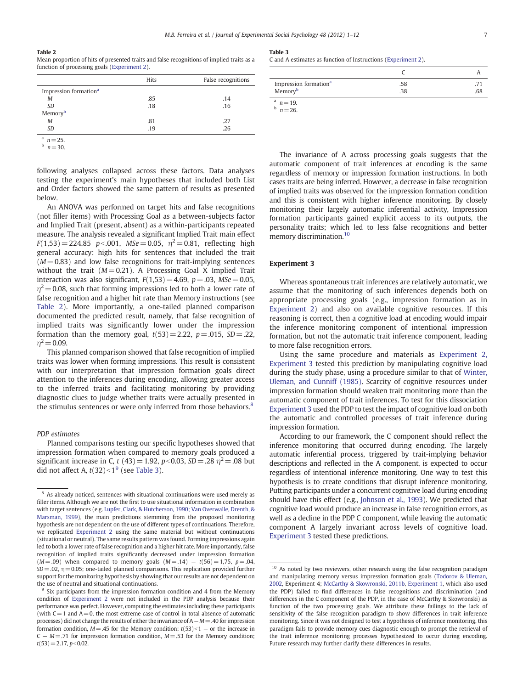#### <span id="page-6-0"></span>Table 2

Mean proportion of hits of presented traits and false recognitions of implied traits as a function of processing goals ([Experiment 2\)](#page-3-0).

|                                   | Hits | False recognitions |
|-----------------------------------|------|--------------------|
| Impression formation <sup>a</sup> |      |                    |
| M                                 | .85  | .14                |
|                                   | .18  | .16                |
| $\rm SD$ Memoryb                  |      |                    |
| M                                 | .81  | .27                |
| <b>SD</b>                         | .19  | .26                |
|                                   |      |                    |

 $n = 25.$  $n = 30.$ 

following analyses collapsed across these factors. Data analyses testing the experiment's main hypotheses that included both List and Order factors showed the same pattern of results as presented below.

An ANOVA was performed on target hits and false recognitions (not filler items) with Processing Goal as a between-subjects factor and Implied Trait (present, absent) as a within-participants repeated measure. The analysis revealed a significant Implied Trait main effect  $F(1,53) = 224.85 \text{ } p < .001, \text{ } MSe = 0.05, \text{ } \eta^2 = 0.81, \text{ reflecting high}$ general accuracy: high hits for sentences that included the trait  $(M= 0.83)$  and low false recognitions for trait-implying sentences without the trait  $(M= 0.21)$ . A Processing Goal X Implied Trait interaction was also significant,  $F(1,53) = 4.69$ ,  $p = .03$ ,  $MSe = 0.05$ ,  $\eta^2$  = 0.08, such that forming impressions led to both a lower rate of false recognition and a higher hit rate than Memory instructions (see Table 2). More importantly, a one-tailed planned comparison documented the predicted result, namely, that false recognition of implied traits was significantly lower under the impression formation than the memory goal,  $t(53) = 2.22$ ,  $p = .015$ ,  $SD = .22$ ,  $\eta^2$  = 0.09.

This planned comparison showed that false recognition of implied traits was lower when forming impressions. This result is consistent with our interpretation that impression formation goals direct attention to the inferences during encoding, allowing greater access to the inferred traits and facilitating monitoring by providing diagnostic clues to judge whether traits were actually presented in the stimulus sentences or were only inferred from those behaviors.<sup>8</sup>

#### PDP estimates

Planned comparisons testing our specific hypotheses showed that impression formation when compared to memory goals produced a significant increase in C, t (43) = 1.92, p<0.03, SD = .28  $\eta^2$  = .08 but did not affect A,  $t(32) < 1^9$  (see Table 3).

# Table 3

C and A estimates as function of Instructions [\(Experiment 2\)](#page-3-0).

| Impression formation <sup>a</sup><br>Memory <sup>b</sup> | .58<br>.38 | .68 |
|----------------------------------------------------------|------------|-----|
| $n = 19$ .<br>b $n = 26$ .                               |            |     |

The invariance of A across processing goals suggests that the automatic component of trait inferences at encoding is the same regardless of memory or impression formation instructions. In both cases traits are being inferred. However, a decrease in false recognition of implied traits was observed for the impression formation condition and this is consistent with higher inference monitoring. By closely monitoring their largely automatic inferential activity, Impression formation participants gained explicit access to its outputs, the personality traits; which led to less false recognitions and better memory discrimination.<sup>10</sup>

# Experiment 3

Whereas spontaneous trait inferences are relatively automatic, we assume that the monitoring of such inferences depends both on appropriate processing goals (e.g., impression formation as in [Experiment 2](#page-3-0)) and also on available cognitive resources. If this reasoning is correct, then a cognitive load at encoding would impair the inference monitoring component of intentional impression formation, but not the automatic trait inference component, leading to more false recognition errors.

Using the same procedure and materials as [Experiment 2,](#page-3-0) [Experiment 3](#page-3-0) tested this prediction by manipulating cognitive load during the study phase, using a procedure similar to that of [Winter,](#page-11-0) [Uleman, and Cunniff \(1985\).](#page-11-0) Scarcity of cognitive resources under impression formation should weaken trait monitoring more than the automatic component of trait inferences. To test for this dissociation Experiment 3 used the PDP to test the impact of cognitive load on both the automatic and controlled processes of trait inference during impression formation.

According to our framework, the C component should reflect the inference monitoring that occurred during encoding. The largely automatic inferential process, triggered by trait-implying behavior descriptions and reflected in the A component, is expected to occur regardless of intentional inference monitoring. One way to test this hypothesis is to create conditions that disrupt inference monitoring. Putting participants under a concurrent cognitive load during encoding should have this effect (e.g., [Johnson et al., 1993](#page-11-0)). We predicted that cognitive load would produce an increase in false recognition errors, as well as a decline in the PDP C component, while leaving the automatic component A largely invariant across levels of cognitive load. Experiment 3 tested these predictions.

 $^{\rm 8}$  As already noticed, sentences with situational continuations were used merely as filler items. Although we are not the first to use situational information in combination with target sentences (e.g. [Lupfer, Clark, & Hutcherson, 1990; Van Overwalle, Drenth, &](#page-11-0) [Marsman, 1999\)](#page-11-0), the main predictions stemming from the proposed monitoring hypothesis are not dependent on the use of different types of continuations. Therefore, we replicated [Experiment 2](#page-3-0) using the same material but without continuations (situational or neutral). The same results pattern was found. Forming impressions again led to both a lower rate of false recognition and a higher hit rate. More importantly, false recognition of implied traits significantly decreased under impression formation  $(M = .09)$  when compared to memory goals  $(M = .14) - t(56) = 1,75, p = .04,$  $SD = .02$ ,  $\eta = 0.05$ ; one-tailed planned comparisons. This replication provided further support for the monitoring hypothesis by showing that our results are not dependent on the use of neutral and situational continuations.

<sup>&</sup>lt;sup>9</sup> Six participants from the impression formation condition and 4 from the Memory condition of [Experiment 2](#page-3-0) were not included in the PDP analysis because their performance was perfect. However, computing the estimates including these participants (with  $C=1$  and  $A=0$ , the most extreme case of control in total absence of automatic processes) did not change the results of either the invariance of  $A - M = .40$  for impression formation condition,  $M = .45$  for the Memory condition;  $t(53) < 1 -$  or the increase in  $C - M = .71$  for impression formation condition,  $M = .53$  for the Memory condition;  $t(53)=2.17, p<0.02.$ 

 $10$  As noted by two reviewers, other research using the false recognition paradigm and manipulating memory versus impression formation goals [\(Todorov & Uleman,](#page-11-0) [2002](#page-11-0), Experiment 4; [McCarthy & Skowronski, 2011b](#page-11-0), [Experiment 1](#page-0-0), which also used the PDP) failed to find differences in false recognitions and discrimination (and differences in the C component of the PDP, in the case of McCarthy & Skowronski) as function of the two processing goals. We attribute these failings to the lack of sensitivity of the false recognition paradigm to show differences in trait inference monitoring. Since it was not designed to test a hypothesis of inference monitoring, this paradigm fails to provide memory cues diagnostic enough to prompt the retrieval of the trait inference monitoring processes hypothesized to occur during encoding. Future research may further clarify these differences in results.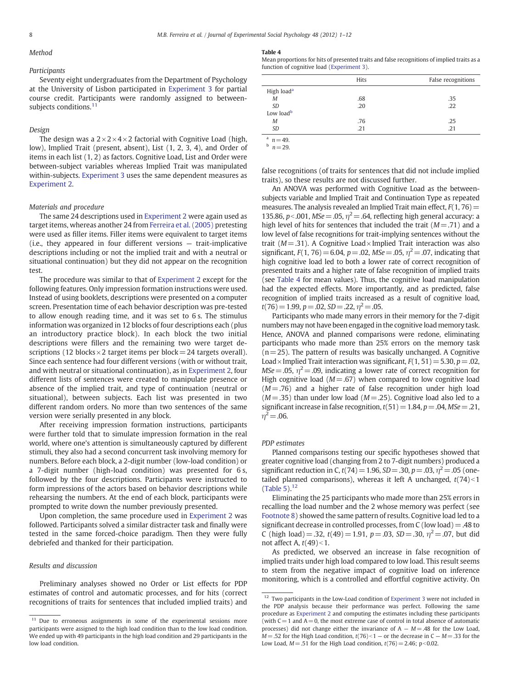## Method

#### Participants

Seventy eight undergraduates from the Department of Psychology at the University of Lisbon participated in [Experiment 3](#page-6-0) for partial course credit. Participants were randomly assigned to betweensubjects conditions.<sup>11</sup>

#### Design

The design was a  $2 \times 2 \times 4 \times 2$  factorial with Cognitive Load (high, low), Implied Trait (present, absent), List (1, 2, 3, 4), and Order of items in each list (1, 2) as factors. Cognitive Load, List and Order were between-subject variables whereas Implied Trait was manipulated within-subjects. [Experiment 3](#page-6-0) uses the same dependent measures as [Experiment 2](#page-3-0).

### Materials and procedure

The same 24 descriptions used in [Experiment 2](#page-3-0) were again used as target items, whereas another 24 from [Ferreira et al. \(2005\)](#page-11-0) pretesting were used as filler items. Filler items were equivalent to target items (i.e., they appeared in four different versions — trait-implicative descriptions including or not the implied trait and with a neutral or situational continuation) but they did not appear on the recognition test.

The procedure was similar to that of [Experiment 2](#page-3-0) except for the following features. Only impression formation instructions were used. Instead of using booklets, descriptions were presented on a computer screen. Presentation time of each behavior description was pre-tested to allow enough reading time, and it was set to 6 s. The stimulus information was organized in 12 blocks of four descriptions each (plus an introductory practice block). In each block the two initial descriptions were fillers and the remaining two were target descriptions (12 blocks  $\times$  2 target items per block = 24 targets overall). Since each sentence had four different versions (with or without trait, and with neutral or situational continuation), as in [Experiment 2](#page-3-0), four different lists of sentences were created to manipulate presence or absence of the implied trait, and type of continuation (neutral or situational), between subjects. Each list was presented in two different random orders. No more than two sentences of the same version were serially presented in any block.

After receiving impression formation instructions, participants were further told that to simulate impression formation in the real world, where one's attention is simultaneously captured by different stimuli, they also had a second concurrent task involving memory for numbers. Before each block, a 2-digit number (low-load condition) or a 7-digit number (high-load condition) was presented for 6 s, followed by the four descriptions. Participants were instructed to form impressions of the actors based on behavior descriptions while rehearsing the numbers. At the end of each block, participants were prompted to write down the number previously presented.

Upon completion, the same procedure used in [Experiment 2](#page-3-0) was followed. Participants solved a similar distracter task and finally were tested in the same forced-choice paradigm. Then they were fully debriefed and thanked for their participation.

# Results and discussion

Preliminary analyses showed no Order or List effects for PDP estimates of control and automatic processes, and for hits (correct recognitions of traits for sentences that included implied traits) and Table 4

Mean proportions for hits of presented traits and false recognitions of implied traits as a function of cognitive load [\(Experiment 3](#page-6-0)).

|                             | Hits | False recognitions |
|-----------------------------|------|--------------------|
| High load <sup>a</sup>      |      |                    |
| M                           | .68  | .35                |
| SD<br>Low load <sup>b</sup> | .20  | .22                |
|                             |      |                    |
| M                           | .76  | .25                |
| <b>SD</b>                   | .21  | .21                |

 $n = 49$ .

 $h$   $n = 29$ .

false recognitions (of traits for sentences that did not include implied traits), so these results are not discussed further.

An ANOVA was performed with Cognitive Load as the betweensubjects variable and Implied Trait and Continuation Type as repeated measures. The analysis revealed an Implied Trait main effect,  $F(1, 76)$  = 135.86,  $p<0.001$ , MSe = .05,  $\eta^2$  = .64, reflecting high general accuracy: a high level of hits for sentences that included the trait  $(M = .71)$  and a low level of false recognitions for trait-implying sentences without the trait ( $M = 0.31$ ). A Cognitive Load × Implied Trait interaction was also significant,  $F(1, 76) = 6.04$ ,  $p = .02$ ,  $MSe = .05$ ,  $\eta^2 = .07$ , indicating that high cognitive load led to both a lower rate of correct recognition of presented traits and a higher rate of false recognition of implied traits (see Table 4 for mean values). Thus, the cognitive load manipulation had the expected effects. More importantly, and as predicted, false recognition of implied traits increased as a result of cognitive load,  $t(76)=1.99$ ,  $p=.02$ ,  $SD=.22$ ,  $\eta^2=.05$ .

Participants who made many errors in their memory for the 7-digit numbers may not have been engaged in the cognitive load memory task. Hence, ANOVA and planned comparisons were redone, eliminating participants who made more than 25% errors on the memory task  $(n=25)$ . The pattern of results was basically unchanged. A Cognitive Load × Implied Trait interaction was significant,  $F(1, 51) = 5.30$ ,  $p = .02$ ,  $MSe$  = .05,  $\eta$ <sup>2</sup> = .09, indicating a lower rate of correct recognition for High cognitive load ( $M = .67$ ) when compared to low cognitive load  $(M=.76)$  and a higher rate of false recognition under high load  $(M=0.35)$  than under low load  $(M=0.25)$ . Cognitive load also led to a significant increase in false recognition,  $t(51)=1.84$ ,  $p=.04$ , MSe = .21,  $n^2$  = .06.

#### PDP estimates

Planned comparisons testing our specific hypotheses showed that greater cognitive load (changing from 2 to 7-digit numbers) produced a significant reduction in C,  $t(74) = 1.96$ ,  $SD = .30$ ,  $p = .03$ ,  $\eta^2 = .05$  (onetailed planned comparisons), whereas it left A unchanged,  $t(74) < 1$ (Table  $5$ ). $^{12}$ 

Eliminating the 25 participants who made more than 25% errors in recalling the load number and the 2 whose memory was perfect (see Footnote 8) showed the same pattern of results. Cognitive load led to a significant decrease in controlled processes, from C (low load) = .48 to C (high load) = .32,  $t(49) = 1.91$ ,  $p = .03$ ,  $SD = .30$ ,  $\eta^2 = .07$ , but did not affect A,  $t(49)$  < 1.

As predicted, we observed an increase in false recognition of implied traits under high load compared to low load. This result seems to stem from the negative impact of cognitive load on inference monitoring, which is a controlled and effortful cognitive activity. On

<sup>&</sup>lt;sup>11</sup> Due to erroneous assignments in some of the experimental sessions more participants were assigned to the high load condition than to the low load condition. We ended up with 49 participants in the high load condition and 29 participants in the low load condition.

 $^{\rm 12}$  Two participants in the Low-Load condition of [Experiment 3](#page-6-0) were not included in the PDP analysis because their performance was perfect. Following the same procedure as [Experiment 2](#page-3-0) and computing the estimates including these participants (with  $C= 1$  and  $A= 0$ , the most extreme case of control in total absence of automatic processes) did not change either the invariance of  $A - M = .48$  for the Low Load,  $M = 0.52$  for the High Load condition,  $t(76) < 1$  — or the decrease in C — M = .33 for the Low Load,  $M = .51$  for the High Load condition,  $t(76) = 2.46$ ; p<0.02.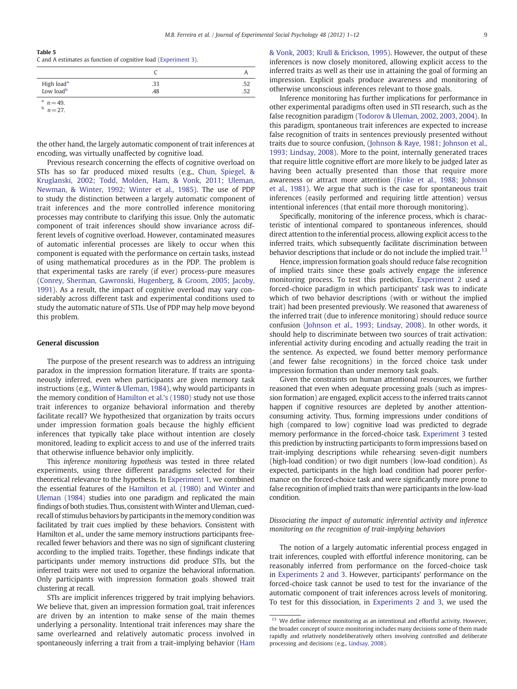<span id="page-8-0"></span>

| $\sim$<br>. |
|-------------|
|-------------|

C and A estimates as function of cognitive load ([Experiment 3](#page-6-0)).

| High load <sup>a</sup><br>Low load <sup>b</sup> | .33 | .52 |
|-------------------------------------------------|-----|-----|
|                                                 | .48 | .52 |
| a<br>$n = 49.$                                  |     |     |

 $h \ n = 27$ .

the other hand, the largely automatic component of trait inferences at encoding, was virtually unaffected by cognitive load.

Previous research concerning the effects of cognitive overload on STIs has so far produced mixed results (e.g., [Chun, Spiegel, &](#page-11-0) [Kruglanski, 2002; Todd, Molden, Ham, & Vonk, 2011; Uleman,](#page-11-0) [Newman, & Winter, 1992; Winter et al., 1985](#page-11-0)). The use of PDP to study the distinction between a largely automatic component of trait inferences and the more controlled inference monitoring processes may contribute to clarifying this issue. Only the automatic component of trait inferences should show invariance across different levels of cognitive overload. However, contaminated measures of automatic inferential processes are likely to occur when this component is equated with the performance on certain tasks, instead of using mathematical procedures as in the PDP. The problem is that experimental tasks are rarely (if ever) process-pure measures [\(Conrey, Sherman, Gawronski, Hugenberg, & Groom, 2005; Jacoby,](#page-11-0) [1991\)](#page-11-0). As a result, the impact of cognitive overload may vary considerably across different task and experimental conditions used to study the automatic nature of STIs. Use of PDP may help move beyond this problem.

#### General discussion

The purpose of the present research was to address an intriguing paradox in the impression formation literature. If traits are spontaneously inferred, even when participants are given memory task instructions (e.g., [Winter & Uleman, 1984\)](#page-11-0), why would participants in the memory condition of [Hamilton et al.'s \(1980\)](#page-11-0) study not use those trait inferences to organize behavioral information and thereby facilitate recall? We hypothesized that organization by traits occurs under impression formation goals because the highly efficient inferences that typically take place without intention are closely monitored, leading to explicit access to and use of the inferred traits that otherwise influence behavior only implicitly.

This inference monitoring hypothesis was tested in three related experiments, using three different paradigms selected for their theoretical relevance to the hypothesis. In [Experiment 1](#page-0-0), we combined the essential features of the [Hamilton et al. \(1980\) and Winter and](#page-11-0) [Uleman \(1984\)](#page-11-0) studies into one paradigm and replicated the main findings of both studies. Thus, consistent with Winter and Uleman, cuedrecall of stimulus behaviors by participants in thememory condition was facilitated by trait cues implied by these behaviors. Consistent with Hamilton et al., under the same memory instructions participants freerecalled fewer behaviors and there was no sign of significant clustering according to the implied traits. Together, these findings indicate that participants under memory instructions did produce STIs, but the inferred traits were not used to organize the behavioral information. Only participants with impression formation goals showed trait clustering at recall.

STIs are implicit inferences triggered by trait implying behaviors. We believe that, given an impression formation goal, trait inferences are driven by an intention to make sense of the main themes underlying a personality. Intentional trait inferences may share the same overlearned and relatively automatic process involved in spontaneously inferring a trait from a trait-implying behavior [\(Ham](#page-11-0) [& Vonk, 2003; Krull & Erickson, 1995](#page-11-0)). However, the output of these inferences is now closely monitored, allowing explicit access to the inferred traits as well as their use in attaining the goal of forming an impression. Explicit goals produce awareness and monitoring of otherwise unconscious inferences relevant to those goals.

Inference monitoring has further implications for performance in other experimental paradigms often used in STI research, such as the false recognition paradigm ([Todorov & Uleman, 2002, 2003, 2004\)](#page-11-0). In this paradigm, spontaneous trait inferences are expected to increase false recognition of traits in sentences previously presented without traits due to source confusion, [\(Johnson & Raye, 1981; Johnson et al.,](#page-11-0) [1993; Lindsay, 2008](#page-11-0)). More to the point, internally generated traces that require little cognitive effort are more likely to be judged later as having been actually presented than those that require more awareness or attract more attention ([Finke et al., 1988; Johnson](#page-11-0) [et al., 1981\)](#page-11-0). We argue that such is the case for spontaneous trait inferences (easily performed and requiring little attention) versus intentional inferences (that entail more thorough monitoring).

Specifically, monitoring of the inference process, which is characteristic of intentional compared to spontaneous inferences, should direct attention to the inferential process, allowing explicit access to the inferred traits, which subsequently facilitate discrimination between behavior descriptions that include or do not include the implied trait.<sup>13</sup>

Hence, impression formation goals should reduce false recognition of implied traits since these goals actively engage the inference monitoring process. To test this prediction, [Experiment 2](#page-3-0) used a forced-choice paradigm in which participants' task was to indicate which of two behavior descriptions (with or without the implied trait) had been presented previously. We reasoned that awareness of the inferred trait (due to inference monitoring) should reduce source confusion ([Johnson et al., 1993; Lindsay, 2008\)](#page-11-0). In other words, it should help to discriminate between two sources of trait activation: inferential activity during encoding and actually reading the trait in the sentence. As expected, we found better memory performance (and fewer false recognitions) in the forced choice task under impression formation than under memory task goals.

Given the constraints on human attentional resources, we further reasoned that even when adequate processing goals (such as impression formation) are engaged, explicit access to the inferred traits cannot happen if cognitive resources are depleted by another attentionconsuming activity. Thus, forming impressions under conditions of high (compared to low) cognitive load was predicted to degrade memory performance in the forced-choice task. [Experiment 3](#page-6-0) tested this prediction by instructing participants to form impressions based on trait-implying descriptions while rehearsing seven-digit numbers (high-load condition) or two digit numbers (low-load condition). As expected, participants in the high load condition had poorer performance on the forced-choice task and were significantly more prone to false recognition of implied traits than were participants in the low-load condition.

Dissociating the impact of automatic inferential activity and inference monitoring on the recognition of trait-implying behaviors

The notion of a largely automatic inferential process engaged in trait inferences, coupled with effortful inference monitoring, can be reasonably inferred from performance on the forced-choice task in [Experiments 2 and 3.](#page-3-0) However, participants' performance on the forced-choice task cannot be used to test for the invariance of the automatic component of trait inferences across levels of monitoring. To test for this dissociation, in [Experiments 2 and 3](#page-3-0), we used the

 $^{13}$  We define inference monitoring as an intentional and effortful activity. However, the broader concept of source monitoring includes many decisions some of them made rapidly and relatively nondeliberatively others involving controlled and deliberate processing and decisions (e.g., [Lindsay, 2008](#page-11-0)).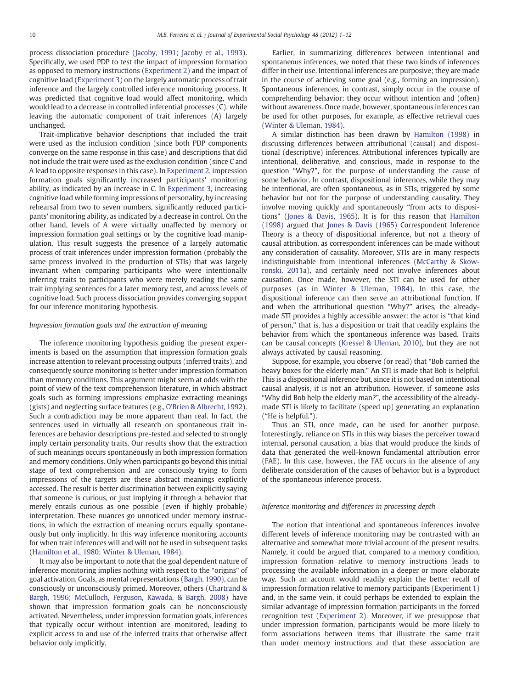process dissociation procedure ([Jacoby, 1991; Jacoby et al., 1993](#page-11-0)). Specifically, we used PDP to test the impact of impression formation as opposed to memory instructions ([Experiment 2\)](#page-3-0) and the impact of cognitive load [\(Experiment 3\)](#page-6-0) on the largely automatic process of trait inference and the largely controlled inference monitoring process. It was predicted that cognitive load would affect monitoring, which would lead to a decrease in controlled inferential processes (C), while leaving the automatic component of trait inferences (A) largely unchanged.

Trait-implicative behavior descriptions that included the trait were used as the inclusion condition (since both PDP components converge on the same response in this case) and descriptions that did not include the trait were used as the exclusion condition (since C and A lead to opposite responses in this case). In [Experiment 2](#page-3-0), impression formation goals significantly increased participants' monitoring ability, as indicated by an increase in C. In [Experiment 3,](#page-6-0) increasing cognitive load while forming impressions of personality, by increasing rehearsal from two to seven numbers, significantly reduced participants' monitoring ability, as indicated by a decrease in control. On the other hand, levels of A were virtually unaffected by memory or impression formation goal settings or by the cognitive load manipulation. This result suggests the presence of a largely automatic process of trait inferences under impression formation (probably the same process involved in the production of STIs) that was largely invariant when comparing participants who were intentionally inferring traits to participants who were merely reading the same trait implying sentences for a later memory test, and across levels of cognitive load. Such process dissociation provides converging support for our inference monitoring hypothesis.

#### Impression formation goals and the extraction of meaning

The inference monitoring hypothesis guiding the present experiments is based on the assumption that impression formation goals increase attention to relevant processing outputs (inferred traits), and consequently source monitoring is better under impression formation than memory conditions. This argument might seem at odds with the point of view of the text comprehension literature, in which abstract goals such as forming impressions emphasize extracting meanings (gists) and neglecting surface features (e.g., [O'Brien & Albrecht, 1992](#page-11-0)). Such a contradiction may be more apparent than real. In fact, the sentences used in virtually all research on spontaneous trait inferences are behavior descriptions pre-tested and selected to strongly imply certain personality traits. Our results show that the extraction of such meanings occurs spontaneously in both impression formation and memory conditions. Only when participants go beyond this initial stage of text comprehension and are consciously trying to form impressions of the targets are these abstract meanings explicitly accessed. The result is better discrimination between explicitly saying that someone is curious, or just implying it through a behavior that merely entails curious as one possible (even if highly probable) interpretation. These nuances go unnoticed under memory instructions, in which the extraction of meaning occurs equally spontaneously but only implicitly. In this way inference monitoring accounts for when trait inferences will and will not be used in subsequent tasks [\(Hamilton et al., 1980; Winter & Uleman, 1984](#page-11-0)).

It may also be important to note that the goal dependent nature of inference monitoring implies nothing with respect to the "origins" of goal activation. Goals, as mental representations ([Bargh, 1990\)](#page-10-0), can be consciously or unconsciously primed. Moreover, others [\(Chartrand &](#page-11-0) [Bargh, 1996; McCulloch, Ferguson, Kawada, & Bargh, 2008\)](#page-11-0) have shown that impression formation goals can be nonconsciously activated. Nevertheless, under impression formation goals, inferences that typically occur without intention are monitored, leading to explicit access to and use of the inferred traits that otherwise affect behavior only implicitly.

Earlier, in summarizing differences between intentional and spontaneous inferences, we noted that these two kinds of inferences differ in their use. Intentional inferences are purposive; they are made in the course of achieving some goal (e.g., forming an impression). Spontaneous inferences, in contrast, simply occur in the course of comprehending behavior; they occur without intention and (often) without awareness. Once made, however, spontaneous inferences can be used for other purposes, for example, as effective retrieval cues [\(Winter & Uleman, 1984\)](#page-11-0).

A similar distinction has been drawn by [Hamilton \(1998\)](#page-11-0) in discussing differences between attributional (causal) and dispositional (descriptive) inferences. Attributional inferences typically are intentional, deliberative, and conscious, made in response to the question "Why?", for the purpose of understanding the cause of some behavior. In contrast, dispositional inferences, while they may be intentional, are often spontaneous, as in STIs, triggered by some behavior but not for the purpose of understanding causality. They involve moving quickly and spontaneously "from acts to dispositions" [\(Jones & Davis, 1965\)](#page-11-0). It is for this reason that [Hamilton](#page-11-0) [\(1998\)](#page-11-0) argued that [Jones & Davis \(1965\)](#page-11-0) Correspondent Inference Theory is a theory of dispositional inference, but not a theory of causal attribution, as correspondent inferences can be made without any consideration of causality. Moreover, STIs are in many respects indistinguishable from intentional inferences [\(McCarthy & Skow](#page-11-0)[ronski, 2011a](#page-11-0)), and certainly need not involve inferences about causation. Once made, however, the STI can be used for other purposes (as in [Winter & Uleman, 1984](#page-11-0)). In this case, the dispositional inference can then serve an attributional function. If and when the attributional question "Why?" arises, the alreadymade STI provides a highly accessible answer: the actor is "that kind of person," that is, has a disposition or trait that readily explains the behavior from which the spontaneous inference was based. Traits can be causal concepts ([Kressel & Uleman, 2010\)](#page-11-0), but they are not always activated by causal reasoning.

Suppose, for example, you observe (or read) that "Bob carried the heavy boxes for the elderly man." An STI is made that Bob is helpful. This is a dispositional inference but, since it is not based on intentional causal analysis, it is not an attribution. However, if someone asks "Why did Bob help the elderly man?", the accessibility of the alreadymade STI is likely to facilitate (speed up) generating an explanation ("He is helpful.").

Thus an STI, once made, can be used for another purpose. Interestingly, reliance on STIs in this way biases the perceiver toward internal, personal causation, a bias that would produce the kinds of data that generated the well-known fundamental attribution error (FAE). In this case, however, the FAE occurs in the absence of any deliberate consideration of the causes of behavior but is a byproduct of the spontaneous inference process.

#### Inference monitoring and differences in processing depth

The notion that intentional and spontaneous inferences involve different levels of inference monitoring may be contrasted with an alternative and somewhat more trivial account of the present results. Namely, it could be argued that, compared to a memory condition, impression formation relative to memory instructions leads to processing the available information in a deeper or more elaborate way. Such an account would readily explain the better recall of impression formation relative to memory participants ([Experiment 1](#page-0-0)) and, in the same vein, it could perhaps be extended to explain the similar advantage of impression formation participants in the forced recognition test ([Experiment 2\)](#page-3-0). Moreover, if we presuppose that under impression formation, participants would be more likely to form associations between items that illustrate the same trait than under memory instructions and that these association are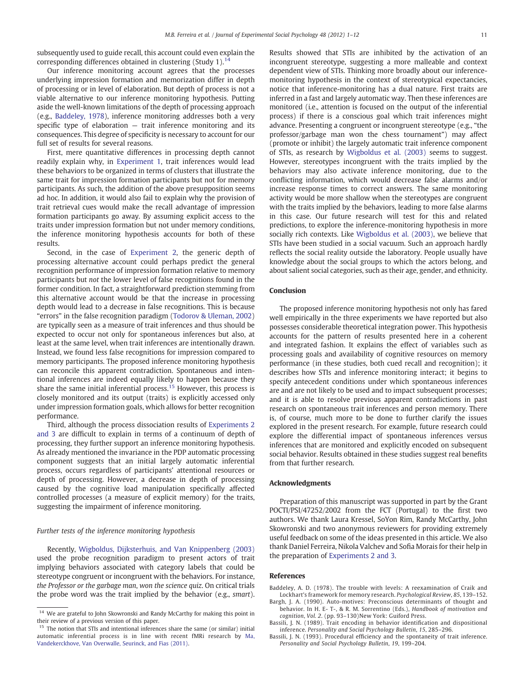<span id="page-10-0"></span>subsequently used to guide recall, this account could even explain the corresponding differences obtained in clustering (Study 1).<sup>14</sup>

Our inference monitoring account agrees that the processes underlying impression formation and memorization differ in depth of processing or in level of elaboration. But depth of process is not a viable alternative to our inference monitoring hypothesis. Putting aside the well-known limitations of the depth of processing approach (e.g., Baddeley, 1978), inference monitoring addresses both a very specific type of elaboration — trait inference monitoring and its consequences. This degree of specificity is necessary to account for our full set of results for several reasons.

First, mere quantitative differences in processing depth cannot readily explain why, in [Experiment 1](#page-0-0), trait inferences would lead these behaviors to be organized in terms of clusters that illustrate the same trait for impression formation participants but not for memory participants. As such, the addition of the above presupposition seems ad hoc. In addition, it would also fail to explain why the provision of trait retrieval cues would make the recall advantage of impression formation participants go away. By assuming explicit access to the traits under impression formation but not under memory conditions, the inference monitoring hypothesis accounts for both of these results.

Second, in the case of [Experiment 2](#page-3-0), the generic depth of processing alternative account could perhaps predict the general recognition performance of impression formation relative to memory participants but not the lower level of false recognitions found in the former condition. In fact, a straightforward prediction stemming from this alternative account would be that the increase in processing depth would lead to a decrease in false recognitions. This is because "errors" in the false recognition paradigm ([Todorov & Uleman, 2002](#page-11-0)) are typically seen as a measure of trait inferences and thus should be expected to occur not only for spontaneous inferences but also, at least at the same level, when trait inferences are intentionally drawn. Instead, we found less false recognitions for impression compared to memory participants. The proposed inference monitoring hypothesis can reconcile this apparent contradiction. Spontaneous and intentional inferences are indeed equally likely to happen because they share the same initial inferential process.<sup>15</sup> However, this process is closely monitored and its output (traits) is explicitly accessed only under impression formation goals, which allows for better recognition performance.

Third, although the process dissociation results of [Experiments 2](#page-3-0) [and 3](#page-3-0) are difficult to explain in terms of a continuum of depth of processing, they further support an inference monitoring hypothesis. As already mentioned the invariance in the PDP automatic processing component suggests that an initial largely automatic inferential process, occurs regardless of participants' attentional resources or depth of processing. However, a decrease in depth of processing caused by the cognitive load manipulation specifically affected controlled processes (a measure of explicit memory) for the traits, suggesting the impairment of inference monitoring.

# Further tests of the inference monitoring hypothesis

Recently, [Wigboldus, Dijksterhuis, and Van Knippenberg \(2003\)](#page-11-0) used the probe recognition paradigm to present actors of trait implying behaviors associated with category labels that could be stereotype congruent or incongruent with the behaviors. For instance, the Professor or the garbage man, won the science quiz. On critical trials the probe word was the trait implied by the behavior (e.g., smart).

Results showed that STIs are inhibited by the activation of an incongruent stereotype, suggesting a more malleable and context dependent view of STIs. Thinking more broadly about our inferencemonitoring hypothesis in the context of stereotypical expectancies, notice that inference-monitoring has a dual nature. First traits are inferred in a fast and largely automatic way. Then these inferences are monitored (i.e., attention is focused on the output of the inferential process) if there is a conscious goal which trait inferences might advance. Presenting a congruent or incongruent stereotype (e.g., "the professor/garbage man won the chess tournament") may affect (promote or inhibit) the largely automatic trait inference component of STIs, as research by [Wigboldus et al. \(2003\)](#page-11-0) seems to suggest. However, stereotypes incongruent with the traits implied by the behaviors may also activate inference monitoring, due to the conflicting information, which would decrease false alarms and/or increase response times to correct answers. The same monitoring activity would be more shallow when the stereotypes are congruent with the traits implied by the behaviors, leading to more false alarms in this case. Our future research will test for this and related predictions, to explore the inference-monitoring hypothesis in more socially rich contexts. Like [Wigboldus et al. \(2003\)](#page-11-0), we believe that STIs have been studied in a social vacuum. Such an approach hardly reflects the social reality outside the laboratory. People usually have knowledge about the social groups to which the actors belong, and about salient social categories, such as their age, gender, and ethnicity.

#### Conclusion

The proposed inference monitoring hypothesis not only has fared well empirically in the three experiments we have reported but also possesses considerable theoretical integration power. This hypothesis accounts for the pattern of results presented here in a coherent and integrated fashion. It explains the effect of variables such as processing goals and availability of cognitive resources on memory performance (in these studies, both cued recall and recognition); it describes how STIs and inference monitoring interact; it begins to specify antecedent conditions under which spontaneous inferences are and are not likely to be used and to impact subsequent processes; and it is able to resolve previous apparent contradictions in past research on spontaneous trait inferences and person memory. There is, of course, much more to be done to further clarify the issues explored in the present research. For example, future research could explore the differential impact of spontaneous inferences versus inferences that are monitored and explicitly encoded on subsequent social behavior. Results obtained in these studies suggest real benefits from that further research.

### Acknowledgments

Preparation of this manuscript was supported in part by the Grant POCTI/PSI/47252/2002 from the FCT (Portugal) to the first two authors. We thank Laura Kressel, SoYon Rim, Randy McCarthy, John Skowronski and two anonymous reviewers for providing extremely useful feedback on some of the ideas presented in this article. We also thank Daniel Ferreira, Nikola Valchev and Sofia Morais for their help in the preparation of [Experiments 2 and 3.](#page-3-0)

# References

Baddeley, A. D. (1978). The trouble with levels: A reexamination of Craik and Lockhart's framework for memory research. Psychological Review, 85, 139–152.

- Bargh, J. A. (1990). Auto-motives: Preconscious determinants of thought and behavior. In H. E- T-, & R. M. Sorrentino (Eds.), Handbook of motivation and
- cognition, Vol. 2. (pp. 93–130)New York: Guiford Press. Bassili, J. N. (1989). Trait encoding in behavior identification and dispositional inference. Personality and Social Psychology Bulletin, 15, 285–296.
- Bassili, J. N. (1993). Procedural efficiency and the spontaneity of trait inference. Personality and Social Psychology Bulletin, 19, 199–204.

<sup>&</sup>lt;sup>14</sup> We are grateful to John Skowronski and Randy McCarthy for making this point in their review of a previous version of this paper.

<sup>&</sup>lt;sup>15</sup> The notion that STIs and intentional inferences share the same (or similar) initial automatic inferential process is in line with recent fMRi research by [Ma,](#page-11-0) [Vandekerckhove, Van Overwalle, Seurinck, and Fias \(2011\).](#page-11-0)